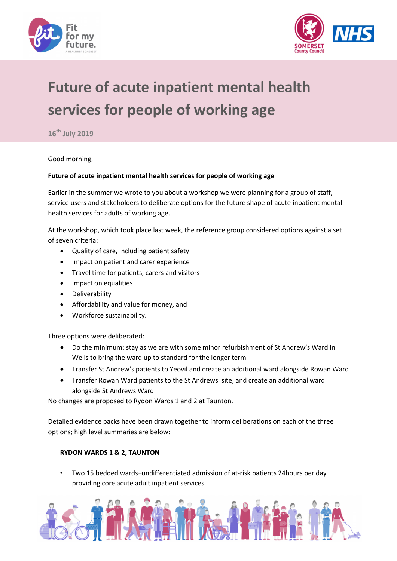



# Future of acute inpatient mental health services for people of working age

 $16<sup>th</sup>$  July 2019

Good morning,

#### Future of acute inpatient mental health services for people of working age

Earlier in the summer we wrote to you about a workshop we were planning for a group of staff, service users and stakeholders to deliberate options for the future shape of acute inpatient mental health services for adults of working age.

At the workshop, which took place last week, the reference group considered options against a set of seven criteria:

- Quality of care, including patient safety
- Impact on patient and carer experience
- Travel time for patients, carers and visitors
- Impact on equalities
- **•** Deliverability
- Affordability and value for money, and
- Workforce sustainability.

Three options were deliberated:

- Do the minimum: stay as we are with some minor refurbishment of St Andrew's Ward in Wells to bring the ward up to standard for the longer term
- Transfer St Andrew's patients to Yeovil and create an additional ward alongside Rowan Ward
- Transfer Rowan Ward patients to the St Andrews site, and create an additional ward alongside St Andrews Ward

No changes are proposed to Rydon Wards 1 and 2 at Taunton.

Detailed evidence packs have been drawn together to inform deliberations on each of the three options; high level summaries are below:

### RYDON WARDS 1 & 2, TAUNTON

• Two 15 bedded wards–undifferentiated admission of at-risk patients 24hours per day providing core acute adult inpatient services

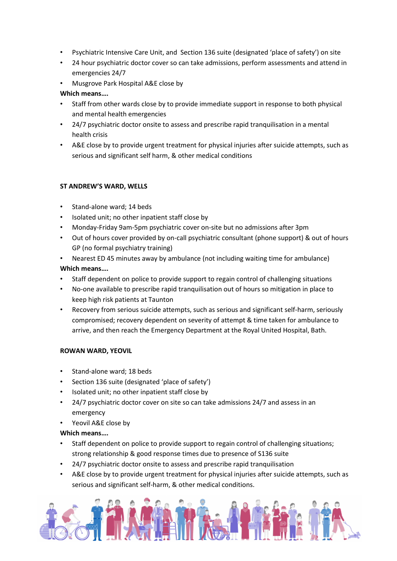- Psychiatric Intensive Care Unit, and Section 136 suite (designated 'place of safety') on site
- 24 hour psychiatric doctor cover so can take admissions, perform assessments and attend in emergencies 24/7
- Musgrove Park Hospital A&E close by

## Which means….

- Staff from other wards close by to provide immediate support in response to both physical and mental health emergencies
- 24/7 psychiatric doctor onsite to assess and prescribe rapid tranquilisation in a mental health crisis
- A&E close by to provide urgent treatment for physical injuries after suicide attempts, such as serious and significant self harm, & other medical conditions

# ST ANDREW'S WARD, WELLS

- Stand-alone ward; 14 beds
- Isolated unit; no other inpatient staff close by
- Monday-Friday 9am-5pm psychiatric cover on-site but no admissions after 3pm
- Out of hours cover provided by on-call psychiatric consultant (phone support) & out of hours GP (no formal psychiatry training)
- Nearest ED 45 minutes away by ambulance (not including waiting time for ambulance) Which means….
- Staff dependent on police to provide support to regain control of challenging situations
- No-one available to prescribe rapid tranquilisation out of hours so mitigation in place to keep high risk patients at Taunton
- Recovery from serious suicide attempts, such as serious and significant self-harm, seriously compromised; recovery dependent on severity of attempt & time taken for ambulance to arrive, and then reach the Emergency Department at the Royal United Hospital, Bath.

### ROWAN WARD, YEOVIL

- Stand-alone ward; 18 beds
- Section 136 suite (designated 'place of safety')
- Isolated unit; no other inpatient staff close by
- 24/7 psychiatric doctor cover on site so can take admissions 24/7 and assess in an emergency
- Yeovil A&E close by

Which means….

- Staff dependent on police to provide support to regain control of challenging situations; strong relationship & good response times due to presence of S136 suite
- 24/7 psychiatric doctor onsite to assess and prescribe rapid tranquilisation
- A&E close by to provide urgent treatment for physical injuries after suicide attempts, such as serious and significant self-harm, & other medical conditions.